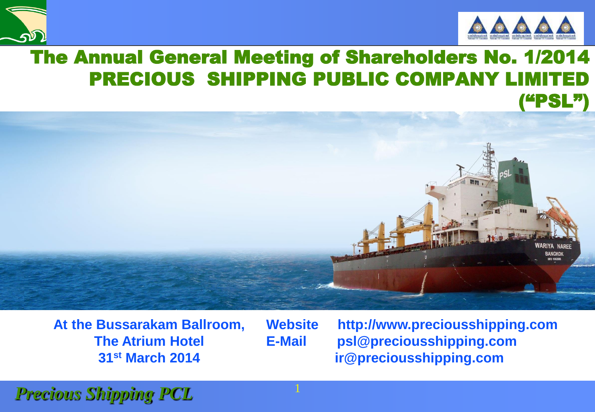



#### The Annual General Meeting of Shareholders No. 1/2014 PRECIOUS SHIPPING PUBLIC COMPANY LIMITED ("PSL")



**At the Bussarakam Ballroom, The Atrium Hotel 31st March 2014**

**Website http://www.preciousshipping.com E-Mail psl@preciousshipping.com ir@preciousshipping.com**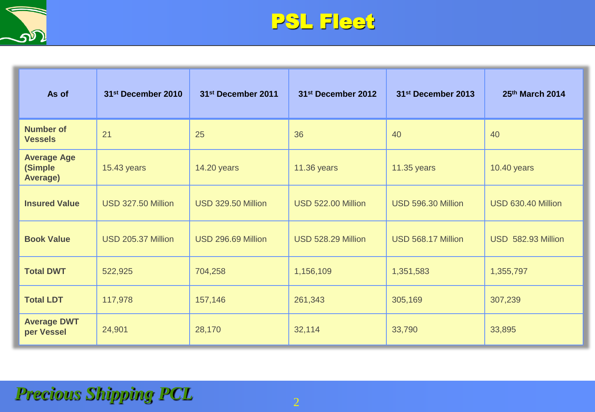



| As of                                            | 31st December 2010 | 31st December 2011 | 31st December 2012 | 31 <sup>st</sup> December 2013 | 25th March 2014    |
|--------------------------------------------------|--------------------|--------------------|--------------------|--------------------------------|--------------------|
| <b>Number of</b><br><b>Vessels</b>               | 21                 | 25                 | 36                 | 40                             | 40                 |
| <b>Average Age</b><br>(Simple<br><b>Average)</b> | 15.43 years        | <b>14.20 years</b> | 11.36 years        | 11.35 years                    | 10.40 years        |
| <b>Insured Value</b>                             | USD 327.50 Million | USD 329.50 Million | USD 522.00 Million | USD 596.30 Million             | USD 630.40 Million |
| <b>Book Value</b>                                | USD 205.37 Million | USD 296.69 Million | USD 528.29 Million | USD 568.17 Million             | USD 582.93 Million |
| <b>Total DWT</b>                                 | 522,925            | 704,258            | 1,156,109          | 1,351,583                      | 1,355,797          |
| <b>Total LDT</b>                                 | 117,978            | 157,146            | 261,343            | 305,169                        | 307,239            |
| <b>Average DWT</b><br>per Vessel                 | 24,901             | 28,170             | 32,114             | 33,790                         | 33,895             |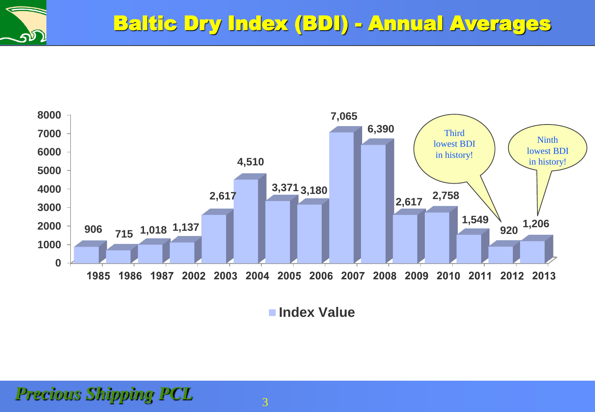

**Index Value**

*Precious Shipping PCL* 3

ברע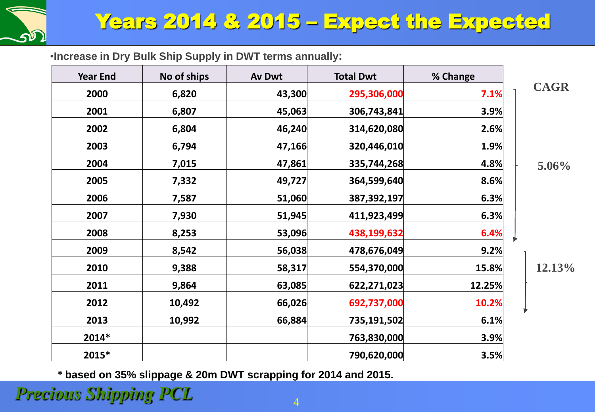

### Years 2014 & 2015 – Expect the Expected

•**Increase in Dry Bulk Ship Supply in DWT terms annually:**

| <b>Year End</b> | No of ships | Av Dwt | <b>Total Dwt</b> | % Change |             |
|-----------------|-------------|--------|------------------|----------|-------------|
| 2000            | 6,820       | 43,300 | 295,306,000      | 7.1%     | <b>CAGR</b> |
| 2001            | 6,807       | 45,063 | 306,743,841      | 3.9%     |             |
| 2002            | 6,804       | 46,240 | 314,620,080      | 2.6%     |             |
| 2003            | 6,794       | 47,166 | 320,446,010      | 1.9%     |             |
| 2004            | 7,015       | 47,861 | 335,744,268      | 4.8%     | $5.06\%$    |
| 2005            | 7,332       | 49,727 | 364,599,640      | 8.6%     |             |
| 2006            | 7,587       | 51,060 | 387,392,197      | 6.3%     |             |
| 2007            | 7,930       | 51,945 | 411,923,499      | 6.3%     |             |
| 2008            | 8,253       | 53,096 | 438,199,632      | 6.4%     |             |
| 2009            | 8,542       | 56,038 | 478,676,049      | 9.2%     |             |
| 2010            | 9,388       | 58,317 | 554,370,000      | 15.8%    | 12.13%      |
| 2011            | 9,864       | 63,085 | 622,271,023      | 12.25%   |             |
| 2012            | 10,492      | 66,026 | 692,737,000      | 10.2%    |             |
| 2013            | 10,992      | 66,884 | 735,191,502      | 6.1%     |             |
| 2014*           |             |        | 763,830,000      | 3.9%     |             |
| 2015*           |             |        | 790,620,000      | 3.5%     |             |

**\* based on 35% slippage & 20m DWT scrapping for 2014 and 2015.**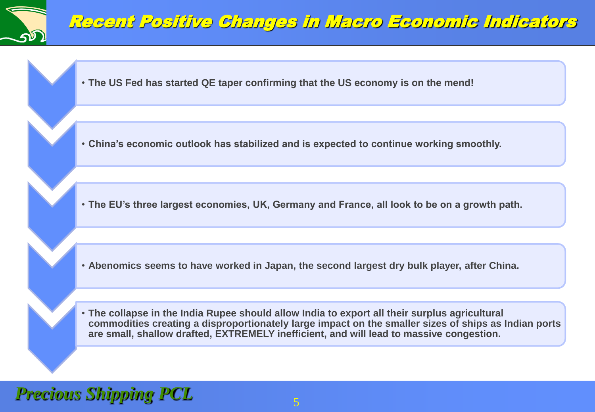

#### Recent Positive Changes in Macro Economic Indicators

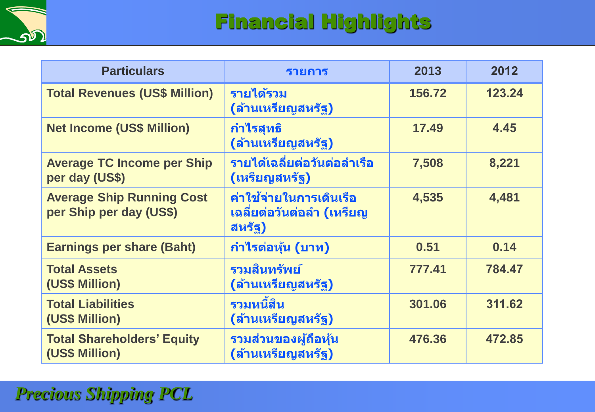

## Financial Highlights

| <b>Particulars</b>                                          | รายการ                                                                   | 2013   | 2012   |
|-------------------------------------------------------------|--------------------------------------------------------------------------|--------|--------|
| <b>Total Revenues (US\$ Million)</b>                        | รายได้รวม<br>(ล้านเหรียญสหรัฐ)                                           | 156.72 | 123.24 |
| <b>Net Income (US\$ Million)</b>                            | <u>ีกำไรสุทธิ</u><br>(ล้านเหรียญสหรัฐ)                                   | 17.49  | 4.45   |
| <b>Average TC Income per Ship</b><br>per day (US\$)         | รายได้เฉลี่ยต่อวันต่อลำเรือ<br>(เหรียญสหรัฐ)                             | 7,508  | 8,221  |
| <b>Average Ship Running Cost</b><br>per Ship per day (US\$) | <b>ี่ค่าใ</b> ช้จ่ายในการเดินเรือ<br>ีเฉลียต่อวันต่อลำ (เหรียญ<br>สหรัฐ) | 4,535  | 4,481  |
| <b>Earnings per share (Baht)</b>                            | ี กำไรต่อหุ้น (บาท)                                                      | 0.51   | 0.14   |
| <b>Total Assets</b><br>(US\$ Million)                       | รวมสินทรัพย์<br>(ล้านเหรียญสหรัฐ)                                        | 777.41 | 784.47 |
| <b>Total Liabilities</b><br>(US\$ Million)                  | รวมหนี้สิน<br>(ล้านเหรียญสหรัฐ)                                          | 301.06 | 311.62 |
| <b>Total Shareholders' Equity</b><br>(US\$ Million)         | ี<br>รวมส่วนของผู้ถือหุ้ <b>น</b><br>(ล้านเหรียญสหรัฐ)                   | 476.36 | 472.85 |